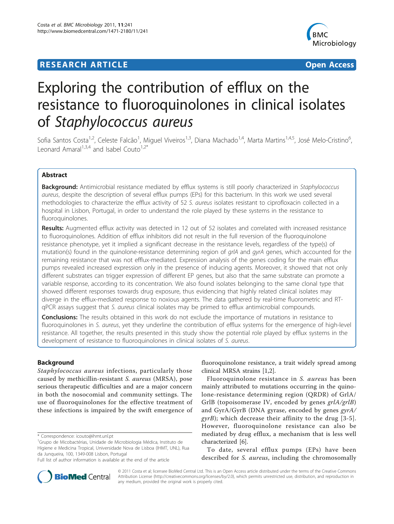# **RESEARCH ARTICLE Example 2018 12:30 THE Open Access**



# Exploring the contribution of efflux on the resistance to fluoroquinolones in clinical isolates of Staphylococcus aureus

Sofia Santos Costa<sup>1,2</sup>, Celeste Falcão<sup>1</sup>, Miguel Viveiros<sup>1,3</sup>, Diana Machado<sup>1,4</sup>, Marta Martins<sup>1,4,5</sup>, José Melo-Cristino<sup>6</sup> , Leonard Amaral<sup>1,3,4</sup> and Isabel Couto<sup>1,2\*</sup>

# Abstract

**Background:** Antimicrobial resistance mediated by efflux systems is still poorly characterized in Staphylococcus aureus, despite the description of several efflux pumps (EPs) for this bacterium. In this work we used several methodologies to characterize the efflux activity of 52 S. aureus isolates resistant to ciprofloxacin collected in a hospital in Lisbon, Portugal, in order to understand the role played by these systems in the resistance to fluoroquinolones.

Results: Augmented efflux activity was detected in 12 out of 52 isolates and correlated with increased resistance to fluoroquinolones. Addition of efflux inhibitors did not result in the full reversion of the fluoroquinolone resistance phenotype, yet it implied a significant decrease in the resistance levels, regardless of the type(s) of mutation(s) found in the quinolone-resistance determining region of grIA and gyrA genes, which accounted for the remaining resistance that was not efflux-mediated. Expression analysis of the genes coding for the main efflux pumps revealed increased expression only in the presence of inducing agents. Moreover, it showed that not only different substrates can trigger expression of different EP genes, but also that the same substrate can promote a variable response, according to its concentration. We also found isolates belonging to the same clonal type that showed different responses towards drug exposure, thus evidencing that highly related clinical isolates may diverge in the efflux-mediated response to noxious agents. The data gathered by real-time fluorometric and RTqPCR assays suggest that S. aureus clinical isolates may be primed to efflux antimicrobial compounds.

**Conclusions:** The results obtained in this work do not exclude the importance of mutations in resistance to fluoroquinolones in S. aureus, yet they underline the contribution of efflux systems for the emergence of high-level resistance. All together, the results presented in this study show the potential role played by efflux systems in the development of resistance to fluoroquinolones in clinical isolates of S. aureus.

# Background

Staphylococcus aureus infections, particularly those caused by methicillin-resistant S. aureus (MRSA), pose serious therapeutic difficulties and are a major concern in both the nosocomial and community settings. The use of fluoroquinolones for the effective treatment of these infections is impaired by the swift emergence of

\* Correspondence: [icouto@ihmt.unl.pt](mailto:icouto@ihmt.unl.pt)

fluoroquinolone resistance, a trait widely spread among clinical MRSA strains [[1,2\]](#page-10-0).

Fluoroquinolone resistance in S. aureus has been mainly attributed to mutations occurring in the quinolone-resistance determining region (QRDR) of GrlA/ GrlB (topoisomerase IV, encoded by genes grlA/grlB) and GyrA/GyrB (DNA gyrase, encoded by genes gyrA/ *gyrB*); which decrease their affinity to the drug [[3-5\]](#page-10-0). However, fluoroquinolone resistance can also be mediated by drug efflux, a mechanism that is less well characterized [\[6\]](#page-10-0).

To date, several efflux pumps (EPs) have been described for S. aureus, including the chromosomally



© 2011 Costa et al; licensee BioMed Central Ltd. This is an Open Access article distributed under the terms of the Creative Commons Attribution License [\(http://creativecommons.org/licenses/by/2.0](http://creativecommons.org/licenses/by/2.0)), which permits unrestricted use, distribution, and reproduction in any medium, provided the original work is properly cited.

<sup>&</sup>lt;sup>1</sup>Grupo de Micobactérias, Unidade de Microbiologia Médica, Instituto de Higiene e Medicina Tropical, Universidade Nova de Lisboa (IHMT, UNL), Rua da Junqueira, 100, 1349-008 Lisbon, Portugal

Full list of author information is available at the end of the article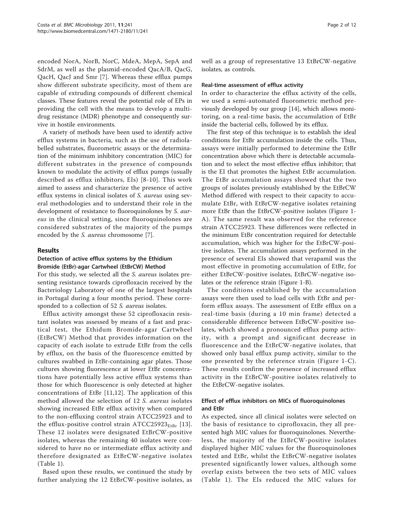encoded NorA, NorB, NorC, MdeA, MepA, SepA and SdrM, as well as the plasmid-encoded QacA/B, QacG, QacH, QacJ and Smr [\[7](#page-10-0)]. Whereas these efflux pumps show different substrate specificity, most of them are capable of extruding compounds of different chemical classes. These features reveal the potential role of EPs in providing the cell with the means to develop a multidrug resistance (MDR) phenotype and consequently survive in hostile environments.

A variety of methods have been used to identify active efflux systems in bacteria, such as the use of radiolabelled substrates, fluorometric assays or the determination of the minimum inhibitory concentration (MIC) for different substrates in the presence of compounds known to modulate the activity of efflux pumps (usually described as efflux inhibitors, EIs) [\[8-10](#page-10-0)]. This work aimed to assess and characterize the presence of active efflux systems in clinical isolates of S. aureus using several methodologies and to understand their role in the development of resistance to fluoroquinolones by S. aureus in the clinical setting, since fluoroquinolones are considered substrates of the majority of the pumps encoded by the *S. aureus* chromosome [[7\]](#page-10-0).

### Results

### Detection of active efflux systems by the Ethidium Bromide (EtBr)-agar Cartwheel (EtBrCW) Method

For this study, we selected all the S. aureus isolates presenting resistance towards ciprofloxacin received by the Bacteriology Laboratory of one of the largest hospitals in Portugal during a four months period. These corresponded to a collection of 52 S. aureus isolates.

Efflux activity amongst these 52 ciprofloxacin resistant isolates was assessed by means of a fast and practical test, the Ethidum Bromide-agar Cartwheel (EtBrCW) Method that provides information on the capacity of each isolate to extrude EtBr from the cells by efflux, on the basis of the fluorescence emitted by cultures swabbed in EtBr-containing agar plates. Those cultures showing fluorescence at lower EtBr concentrations have potentially less active efflux systems than those for which fluorescence is only detected at higher concentrations of EtBr [[11,12](#page-11-0)]. The application of this method allowed the selection of 12 S. aureus isolates showing increased EtBr efflux activity when compared to the non-effluxing control strain ATCC25923 and to the efflux-positive control strain  $ATCC25923<sub>EtBr</sub>$  [[13](#page-11-0)]. These 12 isolates were designated EtBrCW-positive isolates, whereas the remaining 40 isolates were considered to have no or intermediate efflux activity and therefore designated as EtBrCW-negative isolates (Table [1\)](#page-2-0).

Based upon these results, we continued the study by further analyzing the 12 EtBrCW-positive isolates, as well as a group of representative 13 EtBrCW-negative isolates, as controls.

### Real-time assessment of efflux activity

In order to characterize the efflux activity of the cells, we used a semi-automated fluorometric method previously developed by our group [[14\]](#page-11-0), which allows monitoring, on a real-time basis, the accumulation of EtBr inside the bacterial cells, followed by its efflux.

The first step of this technique is to establish the ideal conditions for EtBr accumulation inside the cells. Thus, assays were initially performed to determine the EtBr concentration above which there is detectable accumulation and to select the most effective efflux inhibitor; that is the EI that promotes the highest EtBr accumulation. The EtBr accumulation assays showed that the two groups of isolates previously established by the EtBrCW Method differed with respect to their capacity to accumulate EtBr, with EtBrCW-negative isolates retaining more EtBr than the EtBrCW-positive isolates (Figure [1-](#page-3-0) [A](#page-3-0)). The same result was observed for the reference strain ATCC25923. These differences were reflected in the minimum EtBr concentration required for detectable accumulation, which was higher for the EtBrCW-positive isolates. The accumulation assays performed in the presence of several EIs showed that verapamil was the most effective in promoting accumulation of EtBr, for either EtBrCW-positive isolates, EtBrCW-negative isolates or the reference strain (Figure [1-B](#page-3-0)).

The conditions established by the accumulation assays were then used to load cells with EtBr and perform efflux assays. The assessment of EtBr efflux on a real-time basis (during a 10 min frame) detected a considerable difference between EtBrCW-positive isolates, which showed a pronounced efflux pump activity, with a prompt and significant decrease in fluorescence and the EtBrCW-negative isolates, that showed only basal efflux pump activity, similar to the one presented by the reference strain (Figure [1-C\)](#page-3-0). These results confirm the presence of increased efflux activity in the EtBrCW-positive isolates relatively to the EtBrCW-negative isolates.

### Effect of efflux inhibitors on MICs of fluoroquinolones and EtBr

As expected, since all clinical isolates were selected on the basis of resistance to ciprofloxacin, they all presented high MIC values for fluoroquinolones. Nevertheless, the majority of the EtBrCW-positive isolates displayed higher MIC values for the fluoroquinolones tested and EtBr, whilst the EtBrCW-negative isolates presented significantly lower values, although some overlap exists between the two sets of MIC values (Table [1](#page-2-0)). The EIs reduced the MIC values for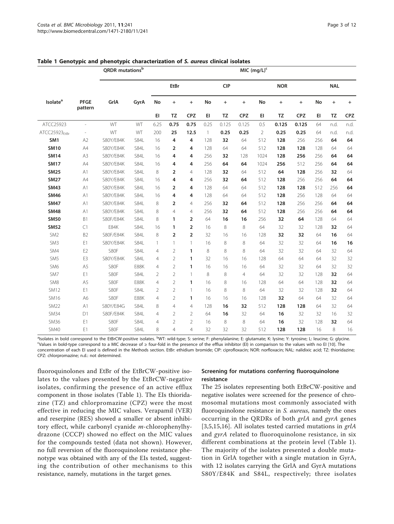|                             | . .                      | <b>QRDR</b> mutations <sup>b</sup> |             | MIC (mg/L) <sup>c</sup> |                |                |              |            |                |      |            |           |     |            |      |
|-----------------------------|--------------------------|------------------------------------|-------------|-------------------------|----------------|----------------|--------------|------------|----------------|------|------------|-----------|-----|------------|------|
|                             |                          |                                    |             |                         | <b>EtBr</b>    |                |              | <b>CIP</b> |                |      | <b>NOR</b> |           |     | <b>NAL</b> |      |
| <b>Isolate</b> <sup>a</sup> | <b>PFGE</b><br>pattern   | GrlA                               | GyrA        | No                      | $\ddot{}$      | $\ddot{}$      | No           | $+$        | $^{+}$         | No   | $^{+}$     | $\ddot{}$ | No  | $\ddot{}$  | $+$  |
|                             |                          |                                    |             | EI                      | <b>TZ</b>      | CPZ            | EI           | TZ         | CPZ            | EI   | <b>TZ</b>  | CPZ       | EI  | TZ         | CPZ  |
| ATCC25923                   | $\overline{\phantom{a}}$ | WT                                 | WT          | 6.25                    | 0.75           | 0.75           | 0.25         | 0.125      | 0.125          | 0.5  | 0.125      | 0.125     | 64  | n.d.       | n.d. |
| ATCC25923 <sub>EtBr</sub>   |                          | WT                                 | WT          | 200                     | 25             | 12.5           | $\mathbf{1}$ | 0.25       | 0.25           | 2    | 0.25       | 0.25      | 64  | n.d.       | n.d. |
| SM1                         | A <sub>2</sub>           | S80Y/E84K                          | S84L        | 16                      | 4              | 4              | 128          | 32         | 64             | 512  | 128        | 256       | 256 | 64         | 64   |
| <b>SM10</b>                 | A4                       | S80Y/E84K                          | S84L        | 16                      | 2              | 4              | 128          | 64         | 64             | 512  | 128        | 128       | 128 | 64         | 64   |
| <b>SM14</b>                 | A3                       | S80Y/E84K                          | <b>S84L</b> | 16                      | 4              | 4              | 256          | 32         | 128            | 1024 | 128        | 256       | 256 | 64         | 64   |
| <b>SM17</b>                 | A4                       | <b>S80Y/E84K</b>                   | S84L        | 16                      | 4              | 4              | 256          | 64         | 64             | 1024 | 256        | 512       | 256 | 64         | 64   |
| <b>SM25</b>                 | A1                       | <b>S80Y/E84K</b>                   | <b>S84L</b> | 8                       | $\overline{2}$ | 4              | 128          | 32         | 64             | 512  | 64         | 128       | 256 | 32         | 64   |
| <b>SM27</b>                 | A4                       | S80Y/E84K                          | <b>S84L</b> | 16                      | 4              | 4              | 256          | 32         | 64             | 512  | 128        | 256       | 256 | 64         | 64   |
| <b>SM43</b>                 | A1                       | S80Y/E84K                          | S84L        | 16                      | 2              | 4              | 128          | 64         | 64             | 512  | 128        | 128       | 512 | 256        | 64   |
| <b>SM46</b>                 | A1                       | <b>S80Y/E84K</b>                   | S84L        | 16                      | 4              | 4              | 128          | 64         | 64             | 512  | 128        | 256       | 128 | 64         | 64   |
| <b>SM47</b>                 | A <sub>1</sub>           | <b>S80Y/E84K</b>                   | <b>S84L</b> | 8                       | 2              | $\overline{4}$ | 256          | 32         | 64             | 512  | 128        | 256       | 256 | 64         | 64   |
| <b>SM48</b>                 | A1                       | <b>S80Y/E84K</b>                   | <b>S84L</b> | 8                       | $\overline{4}$ | 4              | 256          | 32         | 64             | 512  | 128        | 256       | 256 | 64         | 64   |
| <b>SM50</b>                 | B1                       | S80F/E84K                          | <b>S84L</b> | 8                       | 1              | 2              | 64           | 16         | 16             | 256  | 32         | 64        | 128 | 64         | 64   |
| <b>SM52</b>                 | C1                       | <b>E84K</b>                        | S84L        | 16                      | 1              | 2              | 16           | 8          | 8              | 64   | 32         | 32        | 128 | 32         | 64   |
| SM <sub>2</sub>             | B <sub>2</sub>           | <b>S80F/E84K</b>                   | S84L        | 8                       | $\overline{2}$ | $\overline{2}$ | 32           | 16         | 16             | 128  | 32         | 32        | 64  | 16         | 64   |
| SM <sub>3</sub>             | E1                       | <b>S80Y/E84K</b>                   | <b>S84L</b> | $\mathbf{1}$            | $\mathbf{1}$   | $\mathbf{1}$   | 16           | 8          | 8              | 64   | 32         | 32        | 64  | 16         | 16   |
| SM4                         | E <sub>2</sub>           | S80F                               | <b>S84L</b> | $\overline{4}$          | $\overline{2}$ | 1              | 8            | 8          | 8              | 64   | 32         | 32        | 64  | 32         | 64   |
| SM <sub>5</sub>             | E3                       | S80Y/E84K                          | S84L        | $\overline{4}$          | $\overline{2}$ | 1              | 32           | 16         | 16             | 128  | 64         | 64        | 64  | 32         | 32   |
| SM <sub>6</sub>             | A <sub>5</sub>           | S80F                               | E88K        | $\overline{4}$          | $\overline{2}$ | 1              | 16           | 16         | 16             | 64   | 32         | 32        | 64  | 32         | 32   |
| SM7                         | E1                       | S80F                               | S84L        | $\overline{2}$          | $\overline{2}$ | 1              | 8            | 8          | $\overline{4}$ | 64   | 32         | 32        | 128 | 32         | 64   |
| SM <sub>8</sub>             | A <sub>5</sub>           | S80F                               | E88K        | $\overline{4}$          | $\overline{2}$ | 1              | 16           | 8          | 16             | 128  | 64         | 64        | 128 | 32         | 64   |
| <b>SM12</b>                 | E1                       | S80F                               | <b>S84L</b> | $\overline{2}$          | $\overline{2}$ | $\mathbf{1}$   | 16           | 8          | 8              | 64   | 32         | 32        | 128 | 32         | 64   |
| <b>SM16</b>                 | A <sub>6</sub>           | S80F                               | E88K        | $\overline{4}$          | $\overline{2}$ | 1              | 16           | 16         | 16             | 128  | 32         | 64        | 64  | 32         | 64   |
| <b>SM22</b>                 | A1                       | S80Y/E84G                          | <b>S84L</b> | 8                       | $\overline{4}$ | 4              | 128          | 16         | 32             | 512  | 128        | 128       | 64  | 32         | 64   |
| <b>SM34</b>                 | D1                       | S80F/E84K                          | <b>S84L</b> | 4                       | 2              | 2              | 64           | 16         | 32             | 64   | 16         | 32        | 32  | 16         | 32   |
| <b>SM36</b>                 | E1                       | S80F                               | <b>S84L</b> | $\overline{4}$          | $\overline{2}$ | $\overline{2}$ | 16           | 8          | 8              | 64   | 16         | 32        | 128 | 32         | 64   |
| <b>SM40</b>                 | E1                       | S80F                               | <b>S84L</b> | 8                       | 4              | 4              | 32           | 32         | 32             | 512  | 128        | 128       | 16  | 8          | 16   |

### <span id="page-2-0"></span>Table 1 Genotypic and phenotypic characterization of S. aureus clinical isolates

a<br>Station in bold correspond to the EtBrCW-positive isolates. bWT: wild-type; S: serine; F: phenylalanine; E: glutamate; K: lysine; Y: tyrosine; L: leucine; G: glycine. [12] The CHA and the actual station of the station of Values in bold-type correspond to a MIC decrease of ≥ four-fold in the presence of the efflux inhibitor (EI) in comparison to the values with no EI [\[10](#page-10-0)]. The concentration of each EI used is defined in the Methods section. EtBr: ethidium bromide; CIP: ciprofloxacin; NOR: norfloxacin; NAL: nalidixic acid; TZ: thioridazine; CPZ: chlorpromazine; n.d.: not determined.

fluoroquinolones and EtBr of the EtBrCW-positive isolates to the values presented by the EtBrCW-negative isolates, confirming the presence of an active efflux component in those isolates (Table 1). The EIs thioridazine (TZ) and chlorpromazine (CPZ) were the most effective in reducing the MIC values. Verapamil (VER) and reserpine (RES) showed a smaller or absent inhibitory effect, while carbonyl cyanide m-chlorophenylhydrazone (CCCP) showed no effect on the MIC values for the compounds tested (data not shown). However, no full reversion of the fluoroquinolone resistance phenotype was obtained with any of the EIs tested, suggesting the contribution of other mechanisms to this resistance, namely, mutations in the target genes.

### Screening for mutations conferring fluoroquinolone resistance

The 25 isolates representing both EtBrCW-positive and negative isolates were screened for the presence of chromosomal mutations most commonly associated with fluoroquinolone resistance in S. aureus, namely the ones occurring in the QRDRs of both grlA and gyrA genes [[3,5](#page-10-0),[15,16\]](#page-11-0). All isolates tested carried mutations in grlA and gyrA related to fluoroquinolone resistance, in six different combinations at the protein level (Table 1). The majority of the isolates presented a double mutation in GrlA together with a single mutation in GyrA, with 12 isolates carrying the GrlA and GyrA mutations S80Y/E84K and S84L, respectively; three isolates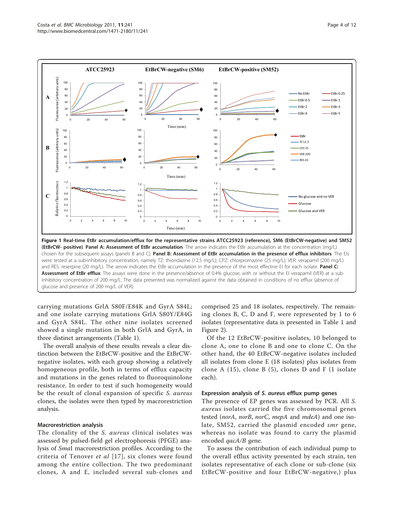<span id="page-3-0"></span>

carrying mutations GrlA S80F/E84K and GyrA S84L; and one isolate carrying mutations GrlA S80Y/E84G and GyrA S84L. The other nine isolates screened showed a single mutation in both GrlA and GyrA, in three distinct arrangements (Table [1\)](#page-2-0).

The overall analysis of these results reveals a clear distinction between the EtBrCW-positive and the EtBrCWnegative isolates, with each group showing a relatively homogeneous profile, both in terms of efflux capacity and mutations in the genes related to fluoroquinolone resistance. In order to test if such homogeneity would be the result of clonal expansion of specific S. aureus clones, the isolates were then typed by macrorestriction analysis.

### Macrorestriction analysis

The clonality of the S. aureus clinical isolates was assessed by pulsed-field gel electrophoresis (PFGE) analysis of SmaI macrorestriction profiles. According to the criteria of Tenover et al [[17](#page-11-0)], six clones were found among the entire collection. The two predominant clones, A and E, included several sub-clones and comprised 25 and 18 isolates, respectively. The remaining clones B, C, D and F, were represented by 1 to 6 isolates (representative data is presented in Table [1](#page-2-0) and Figure [2](#page-4-0)).

Of the 12 EtBrCW-positive isolates, 10 belonged to clone A, one to clone B and one to clone C. On the other hand, the 40 EtBrCW-negative isolates included all isolates from clone E (18 isolates) plus isolates from clone A  $(15)$ , clone B  $(5)$ , clones D and F  $(1 \text{ isolate})$ each).

### Expression analysis of S. aureus efflux pump genes

The presence of EP genes was assessed by PCR. All S. aureus isolates carried the five chromosomal genes tested (norA, norB, norC, mepA and mdeA) and one isolate, SM52, carried the plasmid encoded smr gene, whereas no isolate was found to carry the plasmid encoded qacA/B gene.

To assess the contribution of each individual pump to the overall efflux activity presented by each strain, ten isolates representative of each clone or sub-clone (six EtBrCW-positive and four EtBrCW-negative,) plus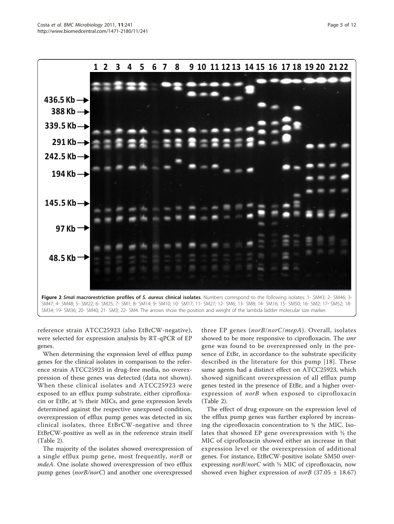reference strain ATCC25923 (also EtBrCW-negative), were selected for expression analysis by RT-qPCR of EP genes.

When determining the expression level of efflux pump genes for the clinical isolates in comparison to the reference strain ATCC25923 in drug-free media, no overexpression of these genes was detected (data not shown). When these clinical isolates and ATCC25923 were exposed to an efflux pump substrate, either ciprofloxacin or EtBr, at ½ their MICs, and gene expression levels determined against the respective unexposed condition, overexpression of efflux pump genes was detected in six clinical isolates, three EtBrCW-negative and three EtBrCW-positive as well as in the reference strain itself (Table [2\)](#page-5-0).

The majority of the isolates showed overexpression of a single efflux pump gene, most frequently, norB or mdeA. One isolate showed overexpression of two efflux pump genes (norB/norC) and another one overexpressed

three EP genes (norB/norC/mepA). Overall, isolates showed to be more responsive to ciprofloxacin. The smr gene was found to be overexpressed only in the presence of EtBr, in accordance to the substrate specificity described in the literature for this pump [[18](#page-11-0)]. These same agents had a distinct effect on ATCC25923, which showed significant overexpression of all efflux pump genes tested in the presence of EtBr, and a higher overexpression of norB when exposed to ciprofloxacin (Table [2\)](#page-5-0).

The effect of drug exposure on the expression level of the efflux pump genes was further explored by increasing the ciprofloxacin concentration to ¾ the MIC. Isolates that showed EP gene overexpression with ½ the MIC of ciprofloxacin showed either an increase in that expression level or the overexpression of additional genes. For instance, EtBrCW-positive isolate SM50 overexpressing norB/norC with ½ MIC of ciprofloxacin, now showed even higher expression of *norB* (37.05  $\pm$  18.67)

<span id="page-4-0"></span>

Figure 2 Smal macrorestriction profiles of S. aureus clinical isolates. Numbers correspond to the following isolates: 1- SM43; 2- SM46; 3-SM47; 4- SM48; 5- SM22; 6- SM25; 7- SM1; 8- SM14; 9- SM10; 10- SM17; 11- SM27; 12- SM6; 13- SM8; 14- SM16; 15- SM50; 16- SM2; 17- SM52; 18-

SM34; 19- SM36; 20- SM40; 21- SM3; 22- SM4. The arrows show the position and weight of the lambda ladder molecular size marker.

**1 2 3 4 5 6 7 8 9 10 11 12 13 14 15 16 17 18 19 20 21 22**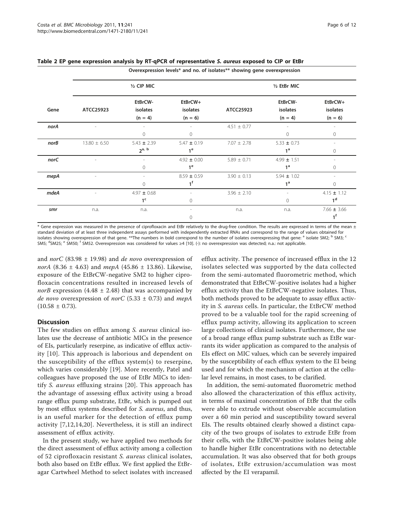|      | Overexpression levels* and no. of isolates** showing gene overexpression |                 |                          |                 |                 |                 |  |  |  |  |
|------|--------------------------------------------------------------------------|-----------------|--------------------------|-----------------|-----------------|-----------------|--|--|--|--|
|      |                                                                          | $1/2$ CIP MIC   |                          | 1/2 EtBr MIC    |                 |                 |  |  |  |  |
|      |                                                                          | EtBrCW-         | EtBrCW+                  |                 | EtBrCW-         | EtBrCW+         |  |  |  |  |
| Gene | ATCC25923                                                                | isolates        | isolates                 | ATCC25923       | isolates        | isolates        |  |  |  |  |
|      |                                                                          | $(n = 4)$       | $(n = 6)$                |                 | $(n = 4)$       | $(n = 6)$       |  |  |  |  |
| norA |                                                                          |                 |                          | $4.51 \pm 0.77$ |                 |                 |  |  |  |  |
|      |                                                                          | $\Omega$        | $\Omega$                 |                 | 0               | $\mathbf{0}$    |  |  |  |  |
| norB | $13.80 \pm 6.50$                                                         | $5.43 \pm 2.39$ | $5.47 \pm 0.19$          | $7.07 \pm 2.78$ | $5.33 \pm 0.73$ |                 |  |  |  |  |
|      |                                                                          | $2a$ , b        | 1 <sup>e</sup>           |                 | 1 <sup>a</sup>  | 0               |  |  |  |  |
| norC |                                                                          | $\overline{a}$  | $4.92 \pm 0.00$          | $5.89 \pm 0.71$ | $4.99 \pm 1.51$ |                 |  |  |  |  |
|      |                                                                          | 0               | 1 <sup>e</sup>           |                 | 1 <sup>a</sup>  | $\Omega$        |  |  |  |  |
| mepA | $\overline{a}$                                                           | $\overline{a}$  | $8.59 \pm 0.59$          | $3.90 \pm 0.13$ | 5.94 $\pm$ 1.02 |                 |  |  |  |  |
|      |                                                                          | 0               | 1 <sup>f</sup>           |                 | 1 <sup>a</sup>  | $\Omega$        |  |  |  |  |
| mdeA |                                                                          | $4.97 \pm 0.68$ |                          | $3.96 \pm 2.10$ |                 | $4.15 \pm 1.12$ |  |  |  |  |
|      |                                                                          | 1 <sup>c</sup>  | $\Omega$                 |                 | 0               | 1 <sup>d</sup>  |  |  |  |  |
| smr  | n.a.                                                                     | n.a.            | $\overline{\phantom{0}}$ | n.a.            | n.a.            | $7.66 \pm 3.66$ |  |  |  |  |
|      |                                                                          |                 | $\Omega$                 |                 |                 | 1 <sup>f</sup>  |  |  |  |  |

<span id="page-5-0"></span>Table 2 EP gene expression analysis by RT-qPCR of representative S. aureus exposed to CIP or EtBr

\* Gene expression was measured in the presence of ciprofloxacin and EtBr relatively to the drug-free condition. The results are expressed in terms of the mean ± standard deviation of at least three independent assays performed with independently extracted RNAs and correspond to the range of values obtained for isolates showing overexpression of that gene. \*\*The numbers in bold correspond to the number of isolates overexpressing that gene:  $a$  isolate SM2;  $b$  SM3;  $\Omega$ SM5; <sup>d</sup>SM25; <sup>e</sup> SM50; <sup>f</sup> SM52. Overexpression was considered for values ≥4 [\[10](#page-10-0)]. (-): no overexpression was detected; n.a.: not applicable.

and *norC* (83.98  $\pm$  19.98) and *de novo* overexpression of *norA* (8.36  $\pm$  4.63) and *mepA* (45.86  $\pm$  13.86). Likewise, exposure of the EtBrCW-negative SM2 to higher ciprofloxacin concentrations resulted in increased levels of *norB* expression (4.48  $\pm$  2.48) that was accompanied by de novo overexpression of norC (5.33  $\pm$  0.73) and mepA  $(10.58 \pm 0.73).$ 

### Discussion

The few studies on efflux among S. aureus clinical isolates use the decrease of antibiotic MICs in the presence of EIs, particularly reserpine, as indicative of efflux activity [\[10\]](#page-10-0). This approach is laborious and dependent on the susceptibility of the efflux system(s) to reserpine, which varies considerably [\[19](#page-11-0)]. More recently, Patel and colleagues have proposed the use of EtBr MICs to identify S. aureus effluxing strains [\[20](#page-11-0)]. This approach has the advantage of assessing efflux activity using a broad range efflux pump substrate, EtBr, which is pumped out by most efflux systems described for S. aureus, and thus, is an useful marker for the detection of efflux pump activity [[7](#page-10-0)[,12,14,20\]](#page-11-0). Nevertheless, it is still an indirect assessment of efflux activity.

In the present study, we have applied two methods for the direct assessment of efflux activity among a collection of 52 ciprofloxacin resistant S. aureus clinical isolates, both also based on EtBr efflux. We first applied the EtBragar Cartwheel Method to select isolates with increased

efflux activity. The presence of increased efflux in the 12 isolates selected was supported by the data collected from the semi-automated fluorometric method, which demonstrated that EtBrCW-positive isolates had a higher efflux activity than the EtBrCW-negative isolates. Thus, both methods proved to be adequate to assay efflux activity in S. aureus cells. In particular, the EtBrCW method proved to be a valuable tool for the rapid screening of efflux pump activity, allowing its application to screen large collections of clinical isolates. Furthermore, the use of a broad range efflux pump substrate such as EtBr warrants its wider application as compared to the analysis of EIs effect on MIC values, which can be severely impaired by the susceptibility of each efflux system to the EI being used and for which the mechanism of action at the cellular level remains, in most cases, to be clarified.

In addition, the semi-automated fluorometric method also allowed the characterization of this efflux activity, in terms of maximal concentration of EtBr that the cells were able to extrude without observable accumulation over a 60 min period and susceptibility toward several EIs. The results obtained clearly showed a distinct capacity of the two groups of isolates to extrude EtBr from their cells, with the EtBrCW-positive isolates being able to handle higher EtBr concentrations with no detectable accumulation. It was also observed that for both groups of isolates, EtBr extrusion/accumulation was most affected by the EI verapamil.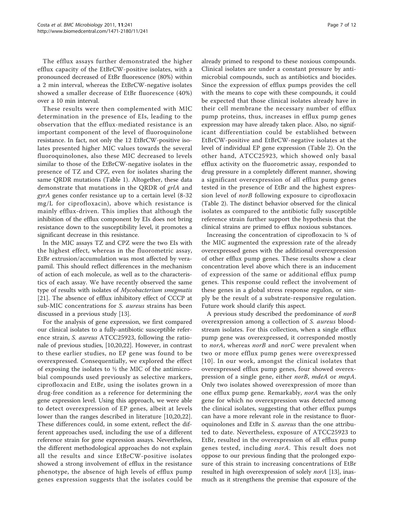The efflux assays further demonstrated the higher efflux capacity of the EtBrCW-positive isolates, with a pronounced decreased of EtBr fluorescence (80%) within a 2 min interval, whereas the EtBrCW-negative isolates showed a smaller decrease of EtBr fluorescence (40%) over a 10 min interval.

These results were then complemented with MIC determination in the presence of EIs, leading to the observation that the efflux-mediated resistance is an important component of the level of fluoroquinolone resistance. In fact, not only the 12 EtBrCW-positive isolates presented higher MIC values towards the several fluoroquinolones, also these MIC decreased to levels similar to those of the EtBrCW-negative isolates in the presence of TZ and CPZ, even for isolates sharing the same QRDR mutations (Table [1\)](#page-2-0). Altogether, these data demonstrate that mutations in the QRDR of grlA and gyrA genes confer resistance up to a certain level (8-32 mg/L for ciprofloxacin), above which resistance is mainly efflux-driven. This implies that although the inhibition of the efflux component by EIs does not bring resistance down to the susceptibility level, it promotes a significant decrease in this resistance.

In the MIC assays TZ and CPZ were the two EIs with the highest effect, whereas in the fluorometric assay, EtBr extrusion/accumulation was most affected by verapamil. This should reflect differences in the mechanism of action of each molecule, as well as to the characteristics of each assay. We have recently observed the same type of results with isolates of Mycobacterium smegmatis [[21\]](#page-11-0). The absence of efflux inhibitory effect of CCCP at sub-MIC concentrations for S. aureus strains has been discussed in a previous study [[13\]](#page-11-0).

For the analysis of gene expression, we first compared our clinical isolates to a fully-antibiotic susceptible reference strain, S. aureus ATCC25923, following the rationale of previous studies, [\[10](#page-10-0)[,20,22\]](#page-11-0). However, in contrast to these earlier studies, no EP gene was found to be overexpressed. Consequentially, we explored the effect of exposing the isolates to  $\frac{1}{2}$  the MIC of the antimicrobial compounds used previously as selective markers, ciprofloxacin and EtBr, using the isolates grown in a drug-free condition as a reference for determining the gene expression level. Using this approach, we were able to detect overexpression of EP genes, albeit at levels lower than the ranges described in literature [[10,](#page-10-0)[20,22](#page-11-0)]. These differences could, in some extent, reflect the different approaches used, including the use of a different reference strain for gene expression assays. Nevertheless, the different methodological approaches do not explain all the results and since EtBrCW-positive isolates showed a strong involvement of efflux in the resistance phenotype, the absence of high levels of efflux pump genes expression suggests that the isolates could be already primed to respond to these noxious compounds. Clinical isolates are under a constant pressure by antimicrobial compounds, such as antibiotics and biocides. Since the expression of efflux pumps provides the cell with the means to cope with these compounds, it could be expected that those clinical isolates already have in their cell membrane the necessary number of efflux pump proteins, thus, increases in efflux pump genes expression may have already taken place. Also, no significant differentiation could be established between EtBrCW-positive and EtBrCW-negative isolates at the level of individual EP gene expression (Table [2](#page-5-0)). On the other hand, ATCC25923, which showed only basal efflux activity on the fluorometric assay, responded to drug pressure in a completely different manner, showing a significant overexpression of all efflux pump genes tested in the presence of EtBr and the highest expression level of norB following exposure to ciprofloxacin (Table [2](#page-5-0)). The distinct behavior observed for the clinical isolates as compared to the antibiotic fully susceptible reference strain further support the hypothesis that the clinical strains are primed to efflux noxious substances.

Increasing the concentration of ciprofloxacin to ¾ of the MIC augmented the expression rate of the already overexpressed genes with the additional overexpression of other efflux pump genes. These results show a clear concentration level above which there is an inducement of expression of the same or additional efflux pump genes. This response could reflect the involvement of these genes in a global stress response regulon, or simply be the result of a substrate-responsive regulation. Future work should clarify this aspect.

A previous study described the predominance of norB overexpression among a collection of S. aureus bloodstream isolates. For this collection, when a single efflux pump gene was overexpressed, it corresponded mostly to norA, whereas norB and norC were prevalent when two or more efflux pump genes were overexpressed [[10\]](#page-10-0). In our work, amongst the clinical isolates that overexpressed efflux pump genes, four showed overexpression of a single gene, either norB, mdeA or mepA. Only two isolates showed overexpression of more than one efflux pump gene. Remarkably, norA was the only gene for which no overexpression was detected among the clinical isolates, suggesting that other efflux pumps can have a more relevant role in the resistance to fluoroquinolones and EtBr in S. aureus than the one attributed to date. Nevertheless, exposure of ATCC25923 to EtBr, resulted in the overexpression of all efflux pump genes tested, including norA. This result does not oppose to our previous finding that the prolonged exposure of this strain to increasing concentrations of EtBr resulted in high overexpression of solely norA [[13](#page-11-0)], inasmuch as it strengthens the premise that exposure of the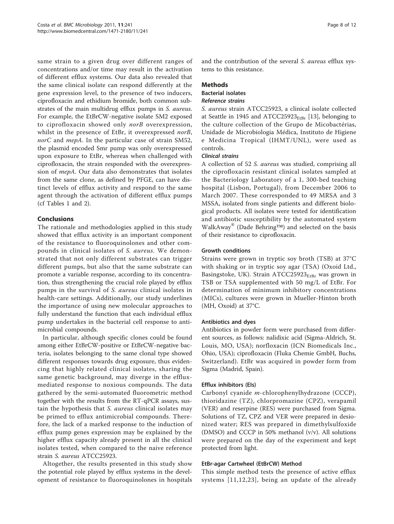same strain to a given drug over different ranges of concentrations and/or time may result in the activation of different efflux systems. Our data also revealed that the same clinical isolate can respond differently at the gene expression level, to the presence of two inducers, ciprofloxacin and ethidium bromide, both common substrates of the main multidrug efflux pumps in S. aureus. For example, the EtBrCW-negative isolate SM2 exposed to ciprofloxacin showed only norB overexpression, whilst in the presence of EtBr, it overexpressed norB, norC and mepA. In the particular case of strain SM52, the plasmid encoded Smr pump was only overexpressed upon exposure to EtBr, whereas when challenged with ciprofloxacin, the strain responded with the overexpression of mepA. Our data also demonstrates that isolates from the same clone, as defined by PFGE, can have distinct levels of efflux activity and respond to the same agent through the activation of different efflux pumps (cf Tables [1](#page-2-0) and [2](#page-5-0)).

# Conclusions

The rationale and methodologies applied in this study showed that efflux activity is an important component of the resistance to fluoroquinolones and other compounds in clinical isolates of S. aureus. We demonstrated that not only different substrates can trigger different pumps, but also that the same substrate can promote a variable response, according to its concentration, thus strengthening the crucial role played by efflux pumps in the survival of S. aureus clinical isolates in health-care settings. Additionally, our study underlines the importance of using new molecular approaches to fully understand the function that each individual efflux pump undertakes in the bacterial cell response to antimicrobial compounds.

In particular, although specific clones could be found among either EtBrCW-positive or EtBrCW-negative bacteria, isolates belonging to the same clonal type showed different responses towards drug exposure, thus evidencing that highly related clinical isolates, sharing the same genetic background, may diverge in the effluxmediated response to noxious compounds. The data gathered by the semi-automated fluorometric method together with the results from the RT-qPCR assays, sustain the hypothesis that S. aureus clinical isolates may be primed to efflux antimicrobial compounds. Therefore, the lack of a marked response to the induction of efflux pump genes expression may be explained by the higher efflux capacity already present in all the clinical isolates tested, when compared to the naive reference strain S. aureus ATCC25923.

Altogether, the results presented in this study show the potential role played by efflux systems in the development of resistance to fluoroquinolones in hospitals and the contribution of the several S. aureus efflux systems to this resistance.

### Methods

# Bacterial isolates

### Reference strains

S. aureus strain ATCC25923, a clinical isolate collected at Seattle in 1945 and ATCC25923 $_{E$ <sub>EBr</sub> [[13\]](#page-11-0), belonging to the culture collection of the Grupo de Micobactérias, Unidade de Microbiologia Médica, Instituto de Higiene e Medicina Tropical (IHMT/UNL), were used as controls.

### Clinical strains

A collection of 52 S. aureus was studied, comprising all the ciprofloxacin resistant clinical isolates sampled at the Bacteriology Laboratory of a 1, 300-bed teaching hospital (Lisbon, Portugal), from December 2006 to March 2007. These corresponded to 49 MRSA and 3 MSSA, isolated from single patients and different biological products. All isolates were tested for identification and antibiotic susceptibility by the automated system WalkAway® (Dade Behring™) and selected on the basis of their resistance to ciprofloxacin.

### Growth conditions

Strains were grown in tryptic soy broth (TSB) at 37°C with shaking or in tryptic soy agar (TSA) (Oxoid Ltd., Basingstoke, UK). Strain ATCC25923<sub>EtBr</sub> was grown in TSB or TSA supplemented with 50 mg/L of EtBr. For determination of minimum inhibitory concentrations (MICs), cultures were grown in Mueller-Hinton broth (MH, Oxoid) at 37°C.

### Antibiotics and dyes

Antibiotics in powder form were purchased from different sources, as follows: nalidixic acid (Sigma-Aldrich, St. Louis, MO, USA); norfloxacin (ICN Biomedicals Inc., Ohio, USA); ciprofloxacin (Fluka Chemie GmbH, Buchs, Switzerland). EtBr was acquired in powder form from Sigma (Madrid, Spain).

### Efflux inhibitors (EIs)

Carbonyl cyanide m-chlorophenylhydrazone (CCCP), thioridazine (TZ), chlorpromazine (CPZ), verapamil (VER) and reserpine (RES) were purchased from Sigma. Solutions of TZ, CPZ and VER were prepared in desionized water; RES was prepared in dimethylsulfoxide (DMSO) and CCCP in 50% methanol (v/v). All solutions were prepared on the day of the experiment and kept protected from light.

### EtBr-agar Cartwheel (EtBrCW) Method

This simple method tests the presence of active efflux systems [[11](#page-11-0),[12,23](#page-11-0)], being an update of the already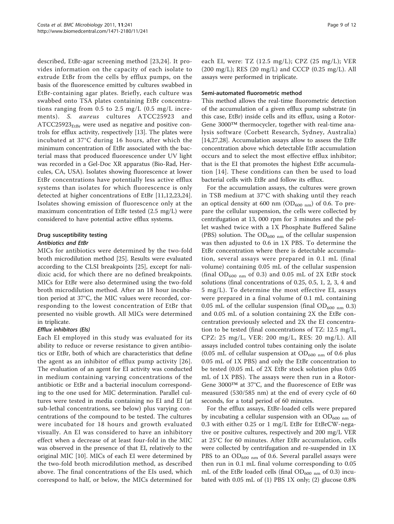described, EtBr-agar screening method [\[23](#page-11-0),[24\]](#page-11-0). It provides information on the capacity of each isolate to extrude EtBr from the cells by efflux pumps, on the basis of the fluorescence emitted by cultures swabbed in EtBr-containing agar plates. Briefly, each culture was swabbed onto TSA plates containing EtBr concentrations ranging from 0.5 to 2.5 mg/L (0.5 mg/L increments). S. aureus cultures ATCC25923 and  $ATCC25923<sub>EtBr</sub>$  were used as negative and positive controls for efflux activity, respectively [[13\]](#page-11-0). The plates were incubated at 37°C during 16 hours, after which the minimum concentration of EtBr associated with the bacterial mass that produced fluorescence under UV light was recorded in a Gel-Doc XR apparatus (Bio-Rad, Hercules, CA, USA). Isolates showing fluorescence at lower EtBr concentrations have potentially less active efflux systems than isolates for which fluorescence is only detected at higher concentrations of EtBr [\[11](#page-11-0),[12,23,24](#page-11-0)]. Isolates showing emission of fluorescence only at the maximum concentration of EtBr tested (2.5 mg/L) were considered to have potential active efflux systems.

# Drug susceptibility testing

### Antibiotics and EtBr

MICs for antibiotics were determined by the two-fold broth microdilution method [\[25\]](#page-11-0). Results were evaluated according to the CLSI breakpoints [[25\]](#page-11-0), except for nalidixic acid, for which there are no defined breakpoints. MICs for EtBr were also determined using the two-fold broth microdilution method. After an 18 hour incubation period at 37°C, the MIC values were recorded, corresponding to the lowest concentration of EtBr that presented no visible growth. All MICs were determined in triplicate.

### Efflux inhibitors (EIs)

Each EI employed in this study was evaluated for its ability to reduce or reverse resistance to given antibiotics or EtBr, both of which are characteristics that define the agent as an inhibitor of efflux pump activity [[26\]](#page-11-0). The evaluation of an agent for EI activity was conducted in medium containing varying concentrations of the antibiotic or EtBr and a bacterial inoculum corresponding to the one used for MIC determination. Parallel cultures were tested in media containing no EI and EI (at sub-lethal concentrations, see below) plus varying concentrations of the compound to be tested. The cultures were incubated for 18 hours and growth evaluated visually. An EI was considered to have an inhibitory effect when a decrease of at least four-fold in the MIC was observed in the presence of that EI, relatively to the original MIC [\[10\]](#page-10-0). MICs of each EI were determined by the two-fold broth microdilution method, as described above. The final concentrations of the EIs used, which correspond to half, or below, the MICs determined for

each EI, were: TZ (12.5 mg/L); CPZ (25 mg/L); VER  $(200 \text{ mg/L})$ ; RES  $(20 \text{ mg/L})$  and CCCP  $(0.25 \text{ mg/L})$ . All assays were performed in triplicate.

### Semi-automated fluorometric method

This method allows the real-time fluorometric detection of the accumulation of a given efflux pump substrate (in this case, EtBr) inside cells and its efflux, using a Rotor-Gene 3000™ thermocycler, together with real-time analysis software (Corbett Research, Sydney, Australia) [[14,27,28\]](#page-11-0). Accumulation assays allow to assess the EtBr concentration above which detectable EtBr accumulation occurs and to select the most effective efflux inhibitor; that is the EI that promotes the highest EtBr accumulation [\[14\]](#page-11-0). These conditions can then be used to load bacterial cells with EtBr and follow its efflux.

For the accumulation assays, the cultures were grown in TSB medium at 37°C with shaking until they reach an optical density at 600 nm ( $OD<sub>600 nm</sub>$ ) of 0.6. To prepare the cellular suspension, the cells were collected by centrifugation at 13, 000 rpm for 3 minutes and the pellet washed twice with a 1X Phosphate Buffered Saline (PBS) solution. The  $OD_{600 \text{ nm}}$  of the cellular suspension was then adjusted to 0.6 in 1X PBS. To determine the EtBr concentration where there is detectable accumulation, several assays were prepared in 0.1 mL (final volume) containing 0.05 mL of the cellular suspension (final  $OD_{600 \text{ nm}}$  of 0.3) and 0.05 mL of 2X EtBr stock solutions (final concentrations of 0.25, 0.5, 1, 2, 3, 4 and 5 mg/L). To determine the most effective EI, assays were prepared in a final volume of 0.1 mL containing 0.05 mL of the cellular suspension (final  $OD_{600 \text{ nm}}$  0.3) and 0.05 mL of a solution containing 2X the EtBr concentration previously selected and 2X the EI concentration to be tested (final concentrations of TZ: 12.5 mg/L, CPZ: 25 mg/L, VER: 200 mg/L, RES: 20 mg/L). All assays included control tubes containing only the isolate (0.05 mL of cellular suspension at  $OD_{600 \text{ nm}}$  of 0.6 plus 0.05 mL of 1X PBS) and only the EtBr concentration to be tested (0.05 mL of 2X EtBr stock solution plus 0.05 mL of 1X PBS). The assays were then run in a Rotor-Gene 3000™ at 37°C, and the fluorescence of EtBr was measured (530/585 nm) at the end of every cycle of 60 seconds, for a total period of 60 minutes.

For the efflux assays, EtBr-loaded cells were prepared by incubating a cellular suspension with an  $OD_{600 \text{ nm}}$  of 0.3 with either 0.25 or 1 mg/L EtBr for EtBrCW-negative or positive cultures, respectively and 200 mg/L VER at 25°C for 60 minutes. After EtBr accumulation, cells were collected by centrifugation and re-suspended in 1X PBS to an  $OD_{600 \ nm}$  of 0.6. Several parallel assays were then run in 0.1 mL final volume corresponding to 0.05 mL of the EtBr loaded cells (final  $OD_{600 \text{ nm}}$  of 0.3) incubated with 0.05 mL of (1) PBS 1X only; (2) glucose 0.8%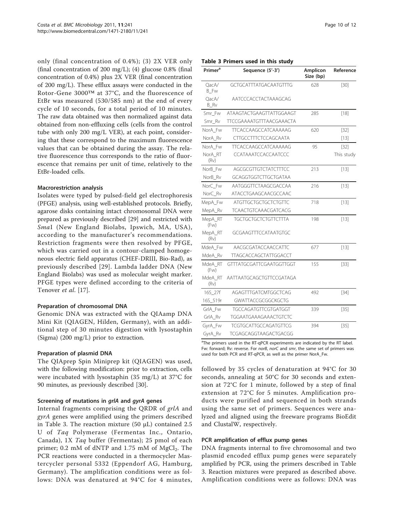<span id="page-9-0"></span>only (final concentration of 0.4%); (3) 2X VER only (final concentration of 200 mg/L); (4) glucose  $0.8\%$  (final concentration of 0.4%) plus 2X VER (final concentration of 200 mg/L). These efflux assays were conducted in the Rotor-Gene 3000™ at 37°C, and the fluorescence of EtBr was measured (530/585 nm) at the end of every cycle of 10 seconds, for a total period of 10 minutes. The raw data obtained was then normalized against data obtained from non-effluxing cells (cells from the control tube with only 200 mg/L VER), at each point, considering that these correspond to the maximum fluorescence values that can be obtained during the assay. The relative fluorescence thus corresponds to the ratio of fluorescence that remains per unit of time, relatively to the EtBr-loaded cells.

### Macrorestriction analysis

Isolates were typed by pulsed-field gel electrophoresis (PFGE) analysis, using well-established protocols. Briefly, agarose disks containing intact chromosomal DNA were prepared as previously described [[29\]](#page-11-0) and restricted with SmaI (New England Biolabs, Ipswich, MA, USA), according to the manufacturer's recommendations. Restriction fragments were then resolved by PFGE, which was carried out in a contour-clamped homogeneous electric field apparatus (CHEF-DRIII, Bio-Rad), as previously described [[29](#page-11-0)]. Lambda ladder DNA (New England Biolabs) was used as molecular weight marker. PFGE types were defined according to the criteria of Tenover et al. [[17\]](#page-11-0).

### Preparation of chromosomal DNA

Genomic DNA was extracted with the QIAamp DNA Mini Kit (QIAGEN, Hilden, Germany), with an additional step of 30 minutes digestion with lysostaphin (Sigma) (200 mg/L) prior to extraction.

### Preparation of plasmid DNA

The QIAprep Spin Miniprep kit (QIAGEN) was used, with the following modification: prior to extraction, cells were incubated with lysostaphin (35 mg/L) at 37°C for 90 minutes, as previously described [[30](#page-11-0)].

### Screening of mutations in grlA and gyrA genes

Internal fragments comprising the QRDR of grlA and gyrA genes were amplified using the primers described in Table 3. The reaction mixture (50  $\mu$ L) contained 2.5 U of Taq Polymerase (Fermentas Inc., Ontario, Canada), 1X Taq buffer (Fermentas); 25 pmol of each primer; 0.2 mM of dNTP and 1.75 mM of  $MgCl<sub>2</sub>$ . The PCR reactions were conducted in a thermocycler Mastercycler personal 5332 (Eppendorf AG, Hamburg, Germany). The amplification conditions were as follows: DNA was denatured at 94°C for 4 minutes,

### Table 3 Primers used in this study

| Primer <sup>a</sup> | Sequence (5'-3')                | Amplicon<br>Size (bp) | Reference  |
|---------------------|---------------------------------|-----------------------|------------|
| OacA/<br>B Fw       | <b>GCTGCATTTATGACAATGTTTG</b>   | 628                   | $[30]$     |
| OacA/<br>B Rv       | AATCCCACCTACTAAAGCAG            |                       |            |
| Smr Fw              | ATAAGTACTGAAGTTATTGGAAGT        | 285                   | [18]       |
| Smr Rv              | TTCCGAAAATGTTTAACGAAACTA        |                       |            |
| NorA Fw             | TTCACCAAGCCATCAAAAAG            | 620                   | $[32]$     |
| NorA Rv             | <b>CTTGCCTTTCTCCAGCAATA</b>     |                       | $[13]$     |
| NorA Fw             | <b>TTCACCAAGCCATCAAAAAG</b>     | 95                    | $[32]$     |
| NorA RT<br>(RV)     | CCATAAATCCACCAATCCC             |                       | This study |
| NorB Fw             | <b>AGCGCGTTGTCTATCTTTCC</b>     | 213                   | $[13]$     |
| NorB_Rv             | GCAGGTGGTCTTGCTGATAA            |                       |            |
| NorC Fw             | AATGGGTTCTAAGCGACCAA            | 216                   | $[13]$     |
| NorC Rv             | ATACCTGAAGCAACGCCAAC            |                       |            |
| MepA_Fw             | <b>ATGTTGCTGCTGCTCTGTTC</b>     | 718                   | $[13]$     |
| MepA_Rv             | TCAACTGTCAAACGATCACG            |                       |            |
| MepA_RT<br>(Fw)     | <b>TGCTGCTGCTCTGTTCTTTA</b>     | 198                   | $[13]$     |
| MepA_RT<br>(Rv)     | GCGAAGTTTCCATAATGTGC            |                       |            |
| MdeA Fw             | AACGCGATACCAACCATTC             | 677                   | $[13]$     |
| MdeA_Rv             | <b>TTAGCACCAGCTATTGGACCT</b>    |                       |            |
| MdeA RT<br>(Fw)     | <b>GTTTATGCGATTCGAATGGTTGGT</b> | 155                   | $[33]$     |
| MdeA RT<br>(Rv)     | AATTAATGCAGCTGTTCCGATAGA        |                       |            |
| 16S 27f             | AGAGTTTGATCMTGGCTCAG            | 492                   | $[34]$     |
| 16S 519r            | GWATTACCGCGGCKGCTG              |                       |            |
| GrIA Fw             | TGCCAGATGTTCGTGATGGT            | 339                   | $[35]$     |
| GrIA_Rv             | TGGAATGAAAGAAACTGTCTC           |                       |            |
| GyrA_Fw             | TCGTGCATTGCCAGATGTTCG           | 394                   | $[35]$     |
| GyrA_Rv             | TCGAGCAGGTAAGACTGACGG           |                       |            |

<sup>a</sup>The primers used in the RT-qPCR experiments are indicated by the RT label. Fw: forward; Rv: reverse. For norB, norC and smr, the same set of primers was used for both PCR and RT-qPCR, as well as the primer NorA\_Fw.

followed by 35 cycles of denaturation at 94°C for 30 seconds, annealing at 50°C for 30 seconds and extension at 72°C for 1 minute, followed by a step of final extension at 72°C for 5 minutes. Amplification products were purified and sequenced in both strands using the same set of primers. Sequences were analyzed and aligned using the freeware programs BioEdit and ClustalW, respectively.

### PCR amplification of efflux pump genes

DNA fragments internal to five chromosomal and two plasmid encoded efflux pump genes were separately amplified by PCR, using the primers described in Table 3. Reaction mixtures were prepared as described above. Amplification conditions were as follows: DNA was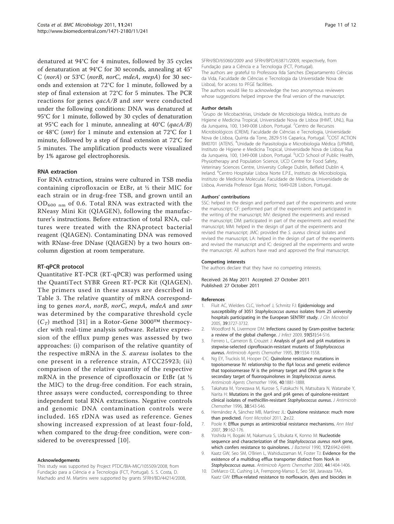<span id="page-10-0"></span>denatured at 94°C for 4 minutes, followed by 35 cycles of denaturation at 94°C for 30 seconds, annealing at 45° C (norA) or 53°C (norB, norC, mdeA, mepA) for 30 seconds and extension at 72°C for 1 minute, followed by a step of final extension at 72°C for 5 minutes. The PCR reactions for genes  $qacA/B$  and smr were conducted under the following conditions: DNA was denatured at 95°C for 1 minute, followed by 30 cycles of denaturation at 95°C each for 1 minute, annealing at 40°C ( $qacA/B$ ) or 48°C (smr) for 1 minute and extension at 72°C for 1 minute, followed by a step of final extension at 72°C for 5 minutes. The amplification products were visualized by 1% agarose gel electrophoresis.

### RNA extraction

For RNA extraction, strains were cultured in TSB media containing ciprofloxacin or EtBr, at ½ their MIC for each strain or in drug-free TSB, and grown until an  $OD_{600 \ nm}$  of 0.6. Total RNA was extracted with the RNeasy Mini Kit (QIAGEN), following the manufacturer's instructions. Before extraction of total RNA, cultures were treated with the RNAprotect bacterial reagent (QIAGEN). Contaminating DNA was removed with RNase-free DNase (QIAGEN) by a two hours oncolumn digestion at room temperature.

### RT-qPCR protocol

Quantitative RT-PCR (RT-qPCR) was performed using the QuantiTect SYBR Green RT-PCR Kit (QIAGEN). The primers used in these assays are described in Table [3.](#page-9-0) The relative quantity of mRNA corresponding to genes norA, norB, norC, mepA, mdeA and smr was determined by the comparative threshold cycle  $(C_T)$  method [[31\]](#page-11-0) in a Rotor-Gene 3000<sup>TM</sup> thermocycler with real-time analysis software. Relative expression of the efflux pump genes was assessed by two approaches: (i) comparison of the relative quantity of the respective mRNA in the S. aureus isolates to the one present in a reference strain, ATCC25923; (ii) comparison of the relative quantity of the respective mRNA in the presence of ciprofloxacin or EtBr (at ½ the MIC) to the drug-free condition. For each strain, three assays were conducted, corresponding to three independent total RNA extractions. Negative controls and genomic DNA contamination controls were included. 16S rDNA was used as reference. Genes showing increased expression of at least four-fold, when compared to the drug-free condition, were considered to be overexpressed [10].

### Acknowledgements

This study was supported by Project PTDC/BIA-MIC/105509/2008, from Fundação para a Ciência e a Tecnologia (FCT, Portugal). S. S. Costa, D. Machado and M. Martins were supported by grants SFRH/BD/44214/2008, SFRH/BD/65060/2009 and SFRH/BPD/63871/2009, respectively, from Fundação para a Ciência e a Tecnologia (FCT, Portugal). The authors are grateful to Professora Ilda Sanches (Departamento Ciências da Vida, Faculdade de Ciências e Tecnologia da Universidade Nova de Lisboa), for access to PFGE facilities. The authors would like to acknowledge the two anonymous reviewers whose suggestions helped improve the final version of the manuscript.

### Author details

<sup>1</sup>Grupo de Micobactérias, Unidade de Microbiologia Médica, Instituto de Higiene e Medicina Tropical, Universidade Nova de Lisboa (IHMT, UNL), Rua da Junqueira, 100, 1349-008 Lisbon, Portugal. <sup>2</sup>Centro de Recursos Microbiológicos (CREM), Faculdade de Ciências e Tecnologia, Universidade Nova de Lisboa, Quinta da Torre, 2829-516 Caparica, Portugal. <sup>3</sup>COST ACTION BM0701 (ATENS. <sup>4</sup>Unidade de Parasitologia e Microbiologia Médica (UPMM), Instituto de Higiene e Medicina Tropical, Universidade Nova de Lisboa; Rua da Junqueira, 100, 1349-008 Lisbon, Portugal. <sup>5</sup>UCD School of Public Health, Physiotherapy and Population Science, UCD Centre for Food Safety, Veterinary Sciences Centre, University College Dublin, Belfield Dublin 4, Ireland. <sup>6</sup>Centro Hospitalar Lisboa Norte E.P.E., Instituto de Microbiologia Instituto de Medicina Molecular, Faculdade de Medicina, Universidade de Lisboa, Avenida Professor Egas Moniz, 1649-028 Lisbon, Portugal.

### Authors' contributions

SSC: helped in the design and performed part of the experiments and wrote the manuscript; CF: performed part of the experiments and participated in the writing of the manuscript; MV: designed the experiments and revised the manuscript; DM: participated in part of the experiments and revised the manuscript; MM: helped in the design of part of the experiments and revised the manuscript; JMC: provided the S. aureus clinical isolates and revised the manuscript; LA: helped in the design of part of the experiments and revised the manuscript and IC: designed all the experiments and wrote the manuscript. All authors have read and approved the final manuscript.

### Competing interests

The authors declare that they have no competing interests.

Received: 26 May 2011 Accepted: 27 October 2011 Published: 27 October 2011

#### References

- Fluit AC, Wielders CLC, Verhoef J, Schmitz FJ: Epidemiology and susceptibility of 3051 Staphylococcus aureus isolates from 25 university hospitals participating in the European SENTRY study. J Clin Microbiol 2005, 39:3727-3732.
- 2. Woodford N, Livermore DM: [Infections caused by Gram-positive bacteria:](http://www.ncbi.nlm.nih.gov/pubmed/19766888?dopt=Abstract) [a review of the global challenge.](http://www.ncbi.nlm.nih.gov/pubmed/19766888?dopt=Abstract) *J Infect* 2009, 59(S1):S4-S16.
- 3. Ferrero L, Cameron B, Crouzet J: Analysis of gyrA and grlA [mutations in](http://www.ncbi.nlm.nih.gov/pubmed/7492103?dopt=Abstract) [stepwise-selected ciprofloxacin-resistant mutants of](http://www.ncbi.nlm.nih.gov/pubmed/7492103?dopt=Abstract) Staphylococcus [aureus](http://www.ncbi.nlm.nih.gov/pubmed/7492103?dopt=Abstract). Antimicrob Agents Chemother 1995, <sup>39</sup>:1554-1558.
- Ng EY, Trucksis M, Hooper DC: [Quinolone resistance mutations in](http://www.ncbi.nlm.nih.gov/pubmed/8843298?dopt=Abstract) [topoisomerase IV: relationship to the](http://www.ncbi.nlm.nih.gov/pubmed/8843298?dopt=Abstract) flqA locus and genetic evidence [that topoisomerase IV is the primary target and DNA gyrase is the](http://www.ncbi.nlm.nih.gov/pubmed/8843298?dopt=Abstract) [secondary target of fluoroquinolones in](http://www.ncbi.nlm.nih.gov/pubmed/8843298?dopt=Abstract) Staphylococcus aureus. Antimicrob Agents Chemother 1996, 40:1881-1888.
- 5. Takahata M, Yonezawa M, Kurose S, Futakuchi N, Matsubara N, Watanabe Y, Narita H: Mutations in the gyrA and grlA [genes of quinolone-resistant](http://www.ncbi.nlm.nih.gov/pubmed/8889728?dopt=Abstract) [clinical isolates of methicillin-resistant](http://www.ncbi.nlm.nih.gov/pubmed/8889728?dopt=Abstract) Staphylococcus aureus. J Antimicrob Chemother 1996, 38:543-546.
- 6. Hernández A, Sánchez MB, Martínez JL: Quinolone resistance: much more than predicted. Front Microbiol 2011, 2:e22.
- 7. Poole K: [Efflux pumps as antimicrobial resistance mechanisms.](http://www.ncbi.nlm.nih.gov/pubmed/17457715?dopt=Abstract) Ann Med 2007, 39:162-176.
- 8. Yoshida H, Bogaki M, Nakamura S, Ubukata K, Konno M: [Nucleotide](http://www.ncbi.nlm.nih.gov/pubmed/2174864?dopt=Abstract) [sequence and characterization of the](http://www.ncbi.nlm.nih.gov/pubmed/2174864?dopt=Abstract) Staphylococcus aureus norA gene, [which confers resistance to quinolones.](http://www.ncbi.nlm.nih.gov/pubmed/2174864?dopt=Abstract) *J Bacteriol* 1990, 172:6942-6949.
- 9. Kaatz GW, Seo SM, O'Brien L, Wahiduzzaman M, Foster TJ: [Evidence for the](http://www.ncbi.nlm.nih.gov/pubmed/10770791?dopt=Abstract) [existence of a multidrug efflux transporter distinct from NorA in](http://www.ncbi.nlm.nih.gov/pubmed/10770791?dopt=Abstract) [Staphylococcus aureus](http://www.ncbi.nlm.nih.gov/pubmed/10770791?dopt=Abstract). Antimicrob Agents Chemother 2000, 44:1404-1406.
- 10. DeMarco CE, Cushing LA, Frempong-Manso E, Seo SM, Jaravaza TAA, Kaatz GW: [Efflux-related resistance to norfloxacin, dyes and biocides in](http://www.ncbi.nlm.nih.gov/pubmed/17576828?dopt=Abstract)